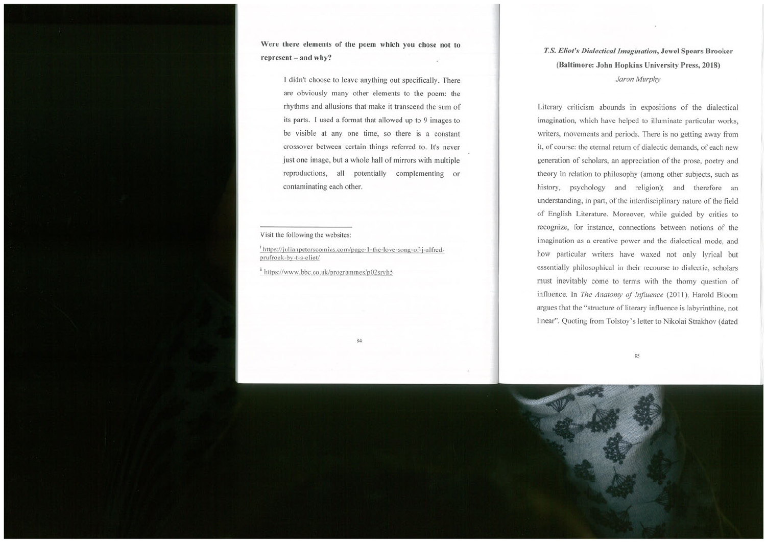## T.S. Eliot's Dialectical Imagination, Jewel Spears Brooker (Baltimore: John Hopkins University Press, 2018)

Jaron Murphy

Literary criticism abounds in expositions of the dialectical imagination, which have helped to illuminate particular works, writers, movements and periods. There is no getting away from it, of course: the eternal return of dialectic demands, of each new generation of scholars, an appreciation of the prose, poetry and theory in relation to philosophy (among other subjects, such as history, psychology and religion); and therefore an understanding, in part, of the interdisciplinary nature of the field of English Literature. Moreover, while guided by critics to recognize, for instance, connections between notions of the imagination as <sup>a</sup> creative power and the dialectical mode, and how particular writers have waxed not only lyrical but essentially philosophical in their recourse to dialectic, scholars must inevitably come to terms with the thorny question of influence. In The Anatomy of Influence (2011), Harold Bloom argues that the "structure of literary influence is labyrinthine, not linear". Quoting from Tolstoy's letter to Nikolai Strakhov (dated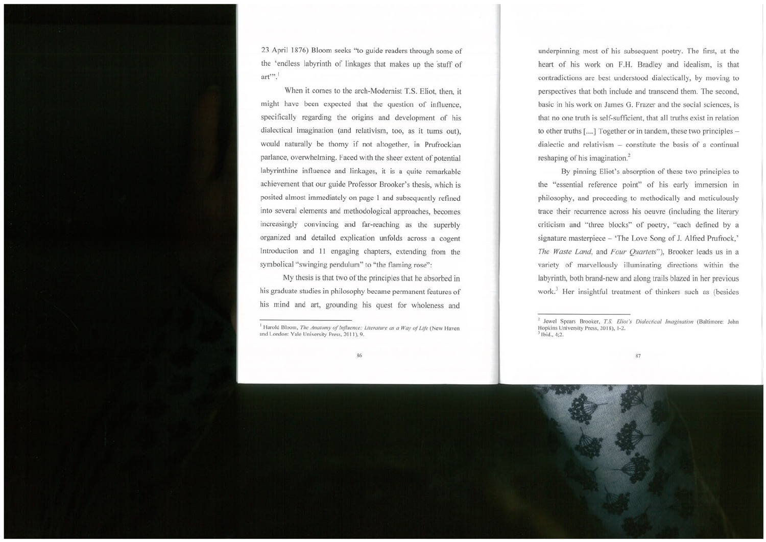23 April 1876) Bloom seeks "to guide readers through some of the 'endless labyrinth of linkages that makes up the stuff of art".

When it comes to the arch-Modernist T.S. Eliot, then, it might have been expected that the question of influence, specifically regarding the origins and development of his dialectical imagination (and relativism, too, as it turns out), would naturally be thorny if not altogether, in Prufrockian parlance, overwhelming. Faced with the sheer extent of potential labyrinthine influence and linkages, it is a quite remarkable achievement that our guide Professor Brooker's thesis, which is posited almost immediately on page <sup>1</sup> and subsequently refined into several elements and methodological approaches, becomes increasingly convincing and far-reaching as the superbly organized and detailed explication unfolds across a cogent Introduction and <sup>11</sup> engaging chapters, extending from the symbolical "swinging pendulum" to "the flaming rose":

My thesis is that two of the principles that he absorbed in his graduate studies in philosophy became permanent features of his mind and art, grounding his quest for wholeness and

underpinning most of his subsequent poetry. The first, at the heart of his work on F.H. Bradley and idealism, is that contradictions are best understood dialectically, by moving to perspectives that both include and transcend them. The second, basic in his work on James G. Frazer and the social sciences, is that no one truth is self-sufficient, that all truths exist in relation to other truths [....] Together or in tandem, these two principles dialectic and relativism — constitute the basis of a continual reshaping of his imagination.<sup>2</sup>

By pinning Eliot's absorption of these two principles to the "essential reference point" of his early immersion in philosophy, and proceeding to methodically and meticulously trace their recurrence across his oeuvre (including the literary criticism and "three blocks" of poetry, "each defined by <sup>a</sup> signature masterpiece — 'The Love Song of J. Alfred Prufrock,' The Waste Land, and Four Quartets"), Brooker leads us in a variety of marvellously illuminating directions within the labyrinth, both brand-new and along trails blazed in her previous work.<sup>3</sup> Her insightful treatment of thinkers such as (besides

<sup>&</sup>lt;sup>1</sup> Harold Bloom, The Anatomy of Influence: Literature as a Way of Life (New Haven and London: Yale University Press, 2011), 9.

<sup>&</sup>lt;sup>2</sup> Jewel Spears Brooker, T.S. Eliot's Dialectical Imagination (Baltimore: John Hopkins University Press, 2018), 1-2.  $<sup>3</sup>$  Ibid., 4:2.</sup>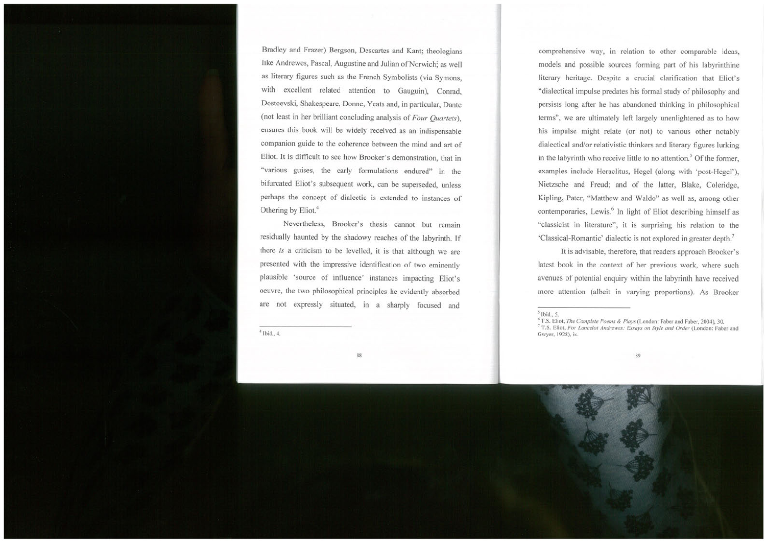Bradley and Frazer) Bergson, Descartes and Kant; theologians like Andrewes, Pascal, Augustine and Julian of Norwich; as well as literary figures such as the French Symbolists (via Symons, with excellent related attention to Gauguin), Conrad, Dostoevski, Shakespeare, Donne, Yeats and, in particular, Dante (not least in her brilliant concluding analysis of Four Quartets), ensures this book will be widely received as an indispensable companion guide to the coherence between the mind and art of Eliot. It is difficult to see how Brooker's demonstration, that in "various guises, the early formulations endured" in the bifurcated Eliot's subsequent work, can be superseded, unless perhaps the concept of dialectic is extended to instances of Othering by Eliot.<sup>4</sup>

Nevertheless, Brooker's thesis cannot but remain residually haunted by the shadowy reaches of the labyrinth. If there is a criticism to be levelled, it is that although we are presented with the impressive identification of two eminently plausible 'source of influence' instances impacting Eliot's oeuvre, the two philosophical principles he evidently absorbed are not expressly situated, in a sharply focused and

comprehensive way, in relation to other comparable ideas, models and possible sources forming part of his labyrinthine literary heritage. Despite a crucial clarification that Eliot's "dialectical impulse predates his formal study of philosophy and persists long after he has abandoned thinking in philosophical terms", we are ultimately left largely unenlightened as to how his impulse might relate (or not) to various other notably dialectical and/or relativistic thinkers and literary figures lurking in the labyrinth who receive little to no attention.<sup>5</sup> Of the former, examples include Heraclitus, Hegel (along with 'post-Hegel'), Nietzsche and Freud; and of the latter, Blake, Coleridge, Kipling, Pater, "Matthew and Waldo" as well as, among other contemporaries, Lewis.<sup>6</sup> In light of Eliot describing himself as "classicist in literature", it is surprising his relation to the 'Classical-Romantic' dialectic is not explored in greater depth.7

It is advisable, therefore, that readers approach Brooker's latest book in the context of her previous work, where such avenues of potential enquiry within the labyrinth have received more attention (albeit in varying proportions). As Brooker

 $<sup>5</sup>$  Ibid., 5.</sup>

<sup>&</sup>lt;sup>6</sup> T.S. Eliot, The Complete Poems & Plays (London: Faber and Faber, 2004), 30.

<sup>&</sup>lt;sup>7</sup> T.S. Eliot, For Lancelot Andrewes: Essays on Style and Order (London: Faber and  $\frac{4 \text{ Ibid., 4.}}{\text{Gwyer, 1928), ix.}}$